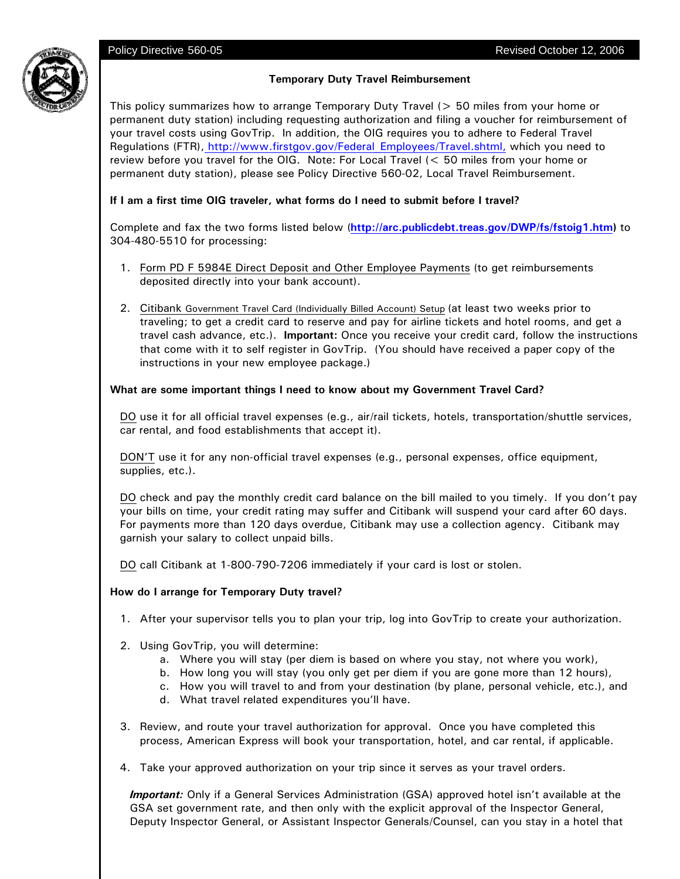

This policy summarizes how to arrange Temporary Duty Travel (> 50 miles from your home or permanent duty station) including requesting authorization and filing a voucher for reimbursement of your travel costs using GovTrip. In addition, the OIG requires you to adhere to Federal Travel Regulations (FTR), http://www.firstgov.gov/Federal\_Employees/Travel.shtml, which you need to review before you travel for the OIG. Note: For Local Travel (< 50 miles from your home or permanent duty station), please see Policy Directive 560-02, Local Travel Reimbursement.

# **If I am a first time OIG traveler, what forms do I need to submit before I travel?**

Complete and fax the two forms listed below (**http://arc.publicdebt.treas.gov/DWP/fs/fstoig1.htm)** to 304-480-5510 for processing:

- 1. Form PD F 5984E Direct Deposit and Other Employee Payments (to get reimbursements deposited directly into your bank account).
- 2. Citibank Government Travel Card (Individually Billed Account) Setup (at least two weeks prior to traveling; to get a credit card to reserve and pay for airline tickets and hotel rooms, and get a travel cash advance, etc.). **Important:** Once you receive your credit card, follow the instructions that come with it to self register in GovTrip. (You should have received a paper copy of the instructions in your new employee package.)

# **What are some important things I need to know about my Government Travel Card?**

DO use it for all official travel expenses (e.g., air/rail tickets, hotels, transportation/shuttle services, car rental, and food establishments that accept it).

DON'T use it for any non-official travel expenses (e.g., personal expenses, office equipment, supplies, etc.).

DO check and pay the monthly credit card balance on the bill mailed to you timely. If you don't pay your bills on time, your credit rating may suffer and Citibank will suspend your card after 60 days. For payments more than 120 days overdue, Citibank may use a collection agency. Citibank may garnish your salary to collect unpaid bills.

DO call Citibank at 1-800-790-7206 immediately if your card is lost or stolen.

# **How do I arrange for Temporary Duty travel?**

- 1. After your supervisor tells you to plan your trip, log into GovTrip to create your authorization.
- 2. Using GovTrip, you will determine:
	- a. Where you will stay (per diem is based on where you stay, not where you work),
	- b. How long you will stay (you only get per diem if you are gone more than 12 hours),
	- c. How you will travel to and from your destination (by plane, personal vehicle, etc.), and
	- d. What travel related expenditures you'll have.
- 3. Review, and route your travel authorization for approval. Once you have completed this process, American Express will book your transportation, hotel, and car rental, if applicable.
- 4. Take your approved authorization on your trip since it serves as your travel orders.

*Important:* Only if a General Services Administration (GSA) approved hotel isn't available at the GSA set government rate, and then only with the explicit approval of the Inspector General, Deputy Inspector General, or Assistant Inspector Generals/Counsel, can you stay in a hotel that

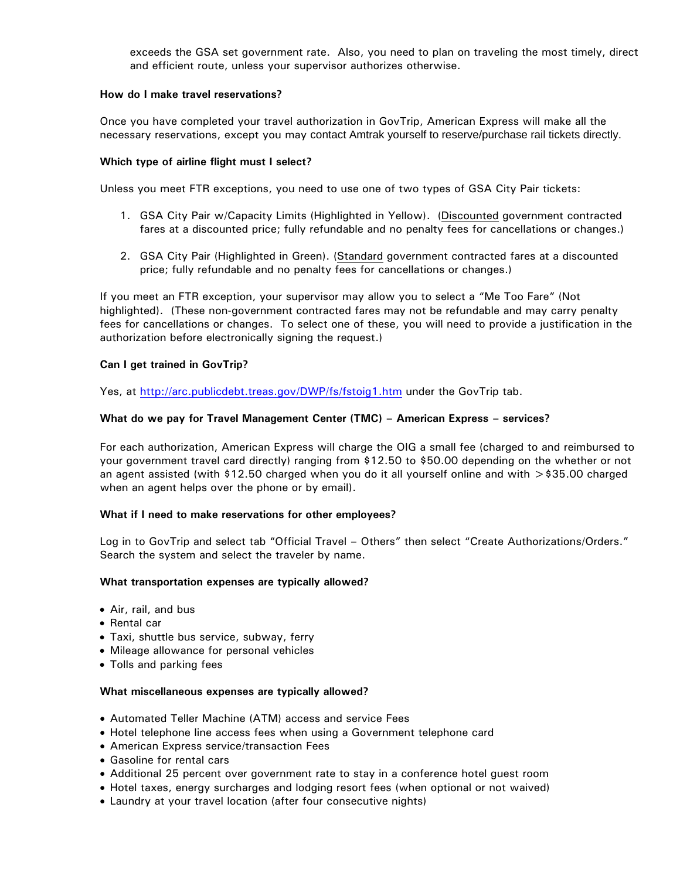exceeds the GSA set government rate. Also, you need to plan on traveling the most timely, direct and efficient route, unless your supervisor authorizes otherwise.

### **How do I make travel reservations?**

Once you have completed your travel authorization in GovTrip, American Express will make all the necessary reservations, except you may contact Amtrak yourself to reserve/purchase rail tickets directly.

### **Which type of airline flight must I select?**

Unless you meet FTR exceptions, you need to use one of two types of GSA City Pair tickets:

- 1. GSA City Pair w/Capacity Limits (Highlighted in Yellow). (Discounted government contracted fares at a discounted price; fully refundable and no penalty fees for cancellations or changes.)
- 2. GSA City Pair (Highlighted in Green). (Standard government contracted fares at a discounted price; fully refundable and no penalty fees for cancellations or changes.)

If you meet an FTR exception, your supervisor may allow you to select a "Me Too Fare" (Not highlighted). (These non-government contracted fares may not be refundable and may carry penalty fees for cancellations or changes. To select one of these, you will need to provide a justification in the authorization before electronically signing the request.)

### **Can I get trained in GovTrip?**

Yes, at http://arc.publicdebt.treas.gov/DWP/fs/fstoig1.htm under the GovTrip tab.

### **What do we pay for Travel Management Center (TMC) – American Express – services?**

For each authorization, American Express will charge the OIG a small fee (charged to and reimbursed to your government travel card directly) ranging from \$12.50 to \$50.00 depending on the whether or not an agent assisted (with \$12.50 charged when you do it all yourself online and with >\$35.00 charged when an agent helps over the phone or by email).

#### **What if I need to make reservations for other employees?**

Log in to GovTrip and select tab "Official Travel – Others" then select "Create Authorizations/Orders." Search the system and select the traveler by name.

#### **What transportation expenses are typically allowed?**

- Air, rail, and bus
- Rental car
- Taxi, shuttle bus service, subway, ferry
- Mileage allowance for personal vehicles
- Tolls and parking fees

#### **What miscellaneous expenses are typically allowed?**

- Automated Teller Machine (ATM) access and service Fees
- Hotel telephone line access fees when using a Government telephone card
- American Express service/transaction Fees
- Gasoline for rental cars
- Additional 25 percent over government rate to stay in a conference hotel guest room
- Hotel taxes, energy surcharges and lodging resort fees (when optional or not waived)
- Laundry at your travel location (after four consecutive nights)